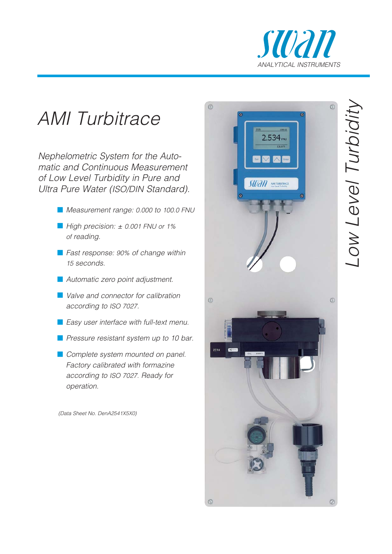

## AMI Turbitrace

Nephelometric System for the Automatic and Continuous Measurement of Low Level Turbidity in Pure and Ultra Pure Water (ISO/DIN Standard).

- **Measurement range: 0.000 to 100.0 FNU**
- High precision: ± 0.001 FNU or 1% of reading.
- **Fast response: 90% of change within** 15 seconds.
- **Automatic zero point adjustment.**
- **N** Valve and connector for calibration according to ISO 7027 .
- **E** Easy user interface with full-text menu.
- **Parage 1** Pressure resistant system up to 10 bar.
- **Complete system mounted on panel.** Factory calibrated with formazine according to ISO 7027. Ready for operation.

(Data Sheet No. DenA2541X5X0)